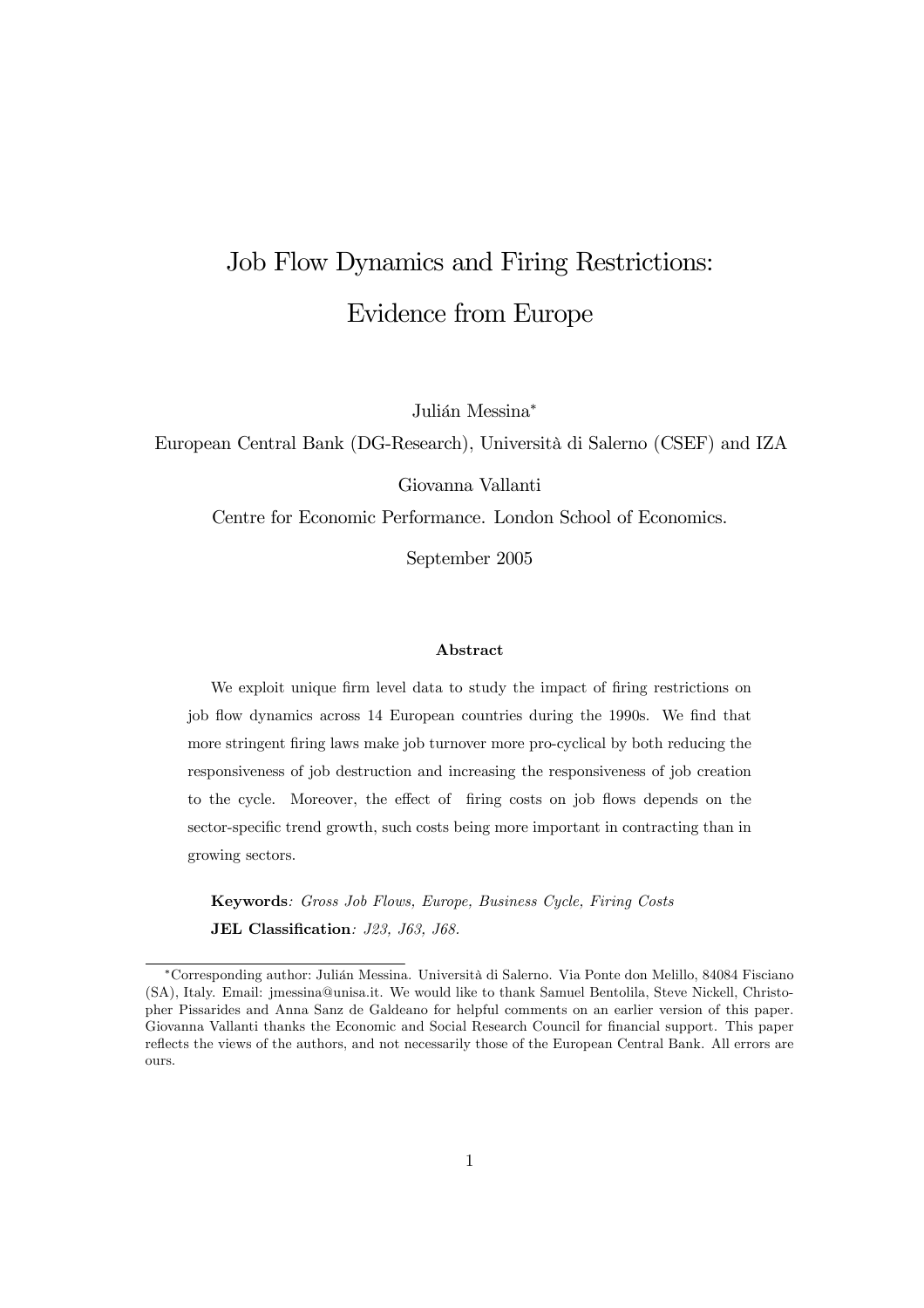# Job Flow Dynamics and Firing Restrictions: Evidence from Europe

Julián Messina<sup>∗</sup>

European Central Bank (DG-Research), Università di Salerno (CSEF) and IZA

Giovanna Vallanti

Centre for Economic Performance. London School of Economics.

September 2005

#### Abstract

We exploit unique firm level data to study the impact of firing restrictions on job flow dynamics across 14 European countries during the 1990s. We find that more stringent firing laws make job turnover more pro-cyclical by both reducing the responsiveness of job destruction and increasing the responsiveness of job creation to the cycle. Moreover, the effect of firing costs on job flows depends on the sector-specific trend growth, such costs being more important in contracting than in growing sectors.

Keywords: Gross Job Flows, Europe, Business Cycle, Firing Costs JEL Classification: J23, J63, J68.

<sup>∗</sup>Corresponding author: Julián Messina. Università di Salerno. Via Ponte don Melillo, 84084 Fisciano (SA), Italy. Email: jmessina@unisa.it. We would like to thank Samuel Bentolila, Steve Nickell, Christopher Pissarides and Anna Sanz de Galdeano for helpful comments on an earlier version of this paper. Giovanna Vallanti thanks the Economic and Social Research Council for financial support. This paper reflects the views of the authors, and not necessarily those of the European Central Bank. All errors are ours.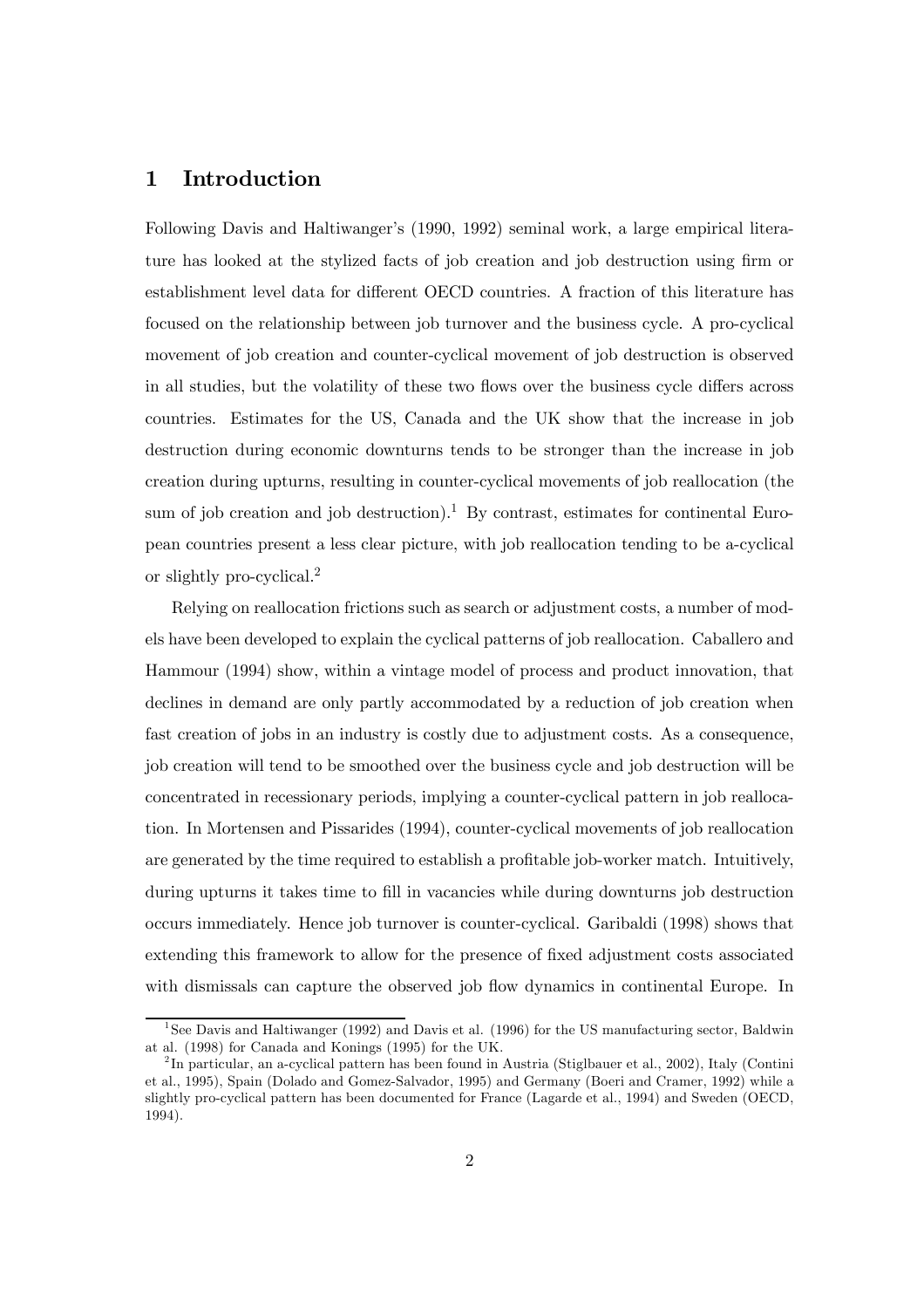# 1 Introduction

Following Davis and Haltiwanger's (1990, 1992) seminal work, a large empirical literature has looked at the stylized facts of job creation and job destruction using firm or establishment level data for different OECD countries. A fraction of this literature has focused on the relationship between job turnover and the business cycle. A pro-cyclical movement of job creation and counter-cyclical movement of job destruction is observed in all studies, but the volatility of these two flows over the business cycle differs across countries. Estimates for the US, Canada and the UK show that the increase in job destruction during economic downturns tends to be stronger than the increase in job creation during upturns, resulting in counter-cyclical movements of job reallocation (the sum of job creation and job destruction).<sup>1</sup> By contrast, estimates for continental European countries present a less clear picture, with job reallocation tending to be a-cyclical or slightly pro-cyclical.<sup>2</sup>

Relying on reallocation frictions such as search or adjustment costs, a number of models have been developed to explain the cyclical patterns of job reallocation. Caballero and Hammour (1994) show, within a vintage model of process and product innovation, that declines in demand are only partly accommodated by a reduction of job creation when fast creation of jobs in an industry is costly due to adjustment costs. As a consequence, job creation will tend to be smoothed over the business cycle and job destruction will be concentrated in recessionary periods, implying a counter-cyclical pattern in job reallocation. In Mortensen and Pissarides (1994), counter-cyclical movements of job reallocation are generated by the time required to establish a profitable job-worker match. Intuitively, during upturns it takes time to fill in vacancies while during downturns job destruction occurs immediately. Hence job turnover is counter-cyclical. Garibaldi (1998) shows that extending this framework to allow for the presence of fixed adjustment costs associated with dismissals can capture the observed job flow dynamics in continental Europe. In

<sup>&</sup>lt;sup>1</sup>See Davis and Haltiwanger (1992) and Davis et al. (1996) for the US manufacturing sector, Baldwin at al. (1998) for Canada and Konings (1995) for the UK.

<sup>2</sup> In particular, an a-cyclical pattern has been found in Austria (Stiglbauer et al., 2002), Italy (Contini et al., 1995), Spain (Dolado and Gomez-Salvador, 1995) and Germany (Boeri and Cramer, 1992) while a slightly pro-cyclical pattern has been documented for France (Lagarde et al., 1994) and Sweden (OECD, 1994).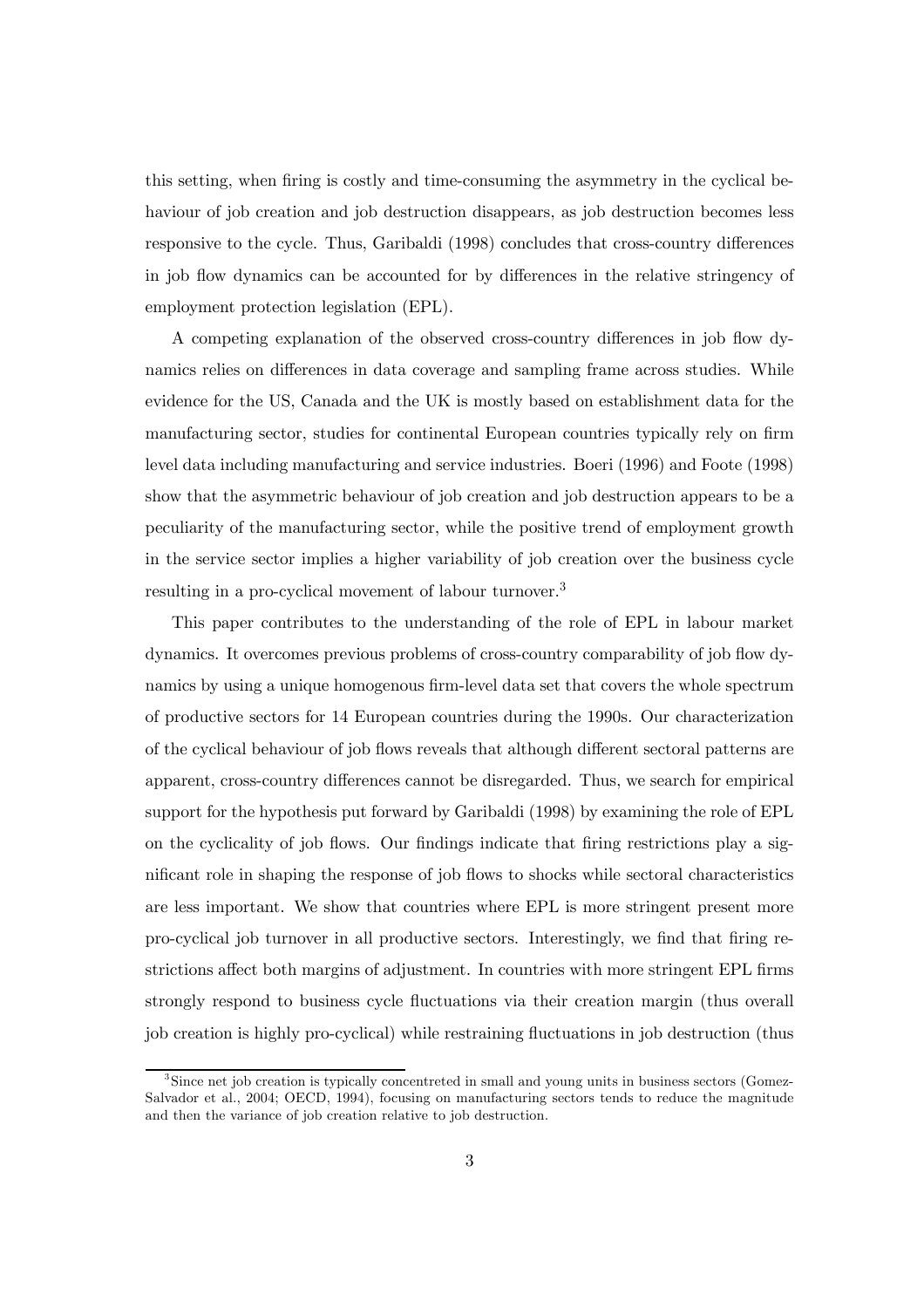this setting, when firing is costly and time-consuming the asymmetry in the cyclical behaviour of job creation and job destruction disappears, as job destruction becomes less responsive to the cycle. Thus, Garibaldi (1998) concludes that cross-country differences in job flow dynamics can be accounted for by differences in the relative stringency of employment protection legislation (EPL).

A competing explanation of the observed cross-country differences in job flow dynamics relies on differences in data coverage and sampling frame across studies. While evidence for the US, Canada and the UK is mostly based on establishment data for the manufacturing sector, studies for continental European countries typically rely on firm level data including manufacturing and service industries. Boeri (1996) and Foote (1998) show that the asymmetric behaviour of job creation and job destruction appears to be a peculiarity of the manufacturing sector, while the positive trend of employment growth in the service sector implies a higher variability of job creation over the business cycle resulting in a pro-cyclical movement of labour turnover.3

This paper contributes to the understanding of the role of EPL in labour market dynamics. It overcomes previous problems of cross-country comparability of job flow dynamics by using a unique homogenous firm-level data set that covers the whole spectrum of productive sectors for 14 European countries during the 1990s. Our characterization of the cyclical behaviour of job flows reveals that although different sectoral patterns are apparent, cross-country differences cannot be disregarded. Thus, we search for empirical support for the hypothesis put forward by Garibaldi (1998) by examining the role of EPL on the cyclicality of job flows. Our findings indicate that firing restrictions play a significant role in shaping the response of job flows to shocks while sectoral characteristics are less important. We show that countries where EPL is more stringent present more pro-cyclical job turnover in all productive sectors. Interestingly, we find that firing restrictions affect both margins of adjustment. In countries with more stringent EPL firms strongly respond to business cycle fluctuations via their creation margin (thus overall job creation is highly pro-cyclical) while restraining fluctuations in job destruction (thus

<sup>&</sup>lt;sup>3</sup>Since net job creation is typically concentreted in small and young units in business sectors (Gomez-Salvador et al., 2004; OECD, 1994), focusing on manufacturing sectors tends to reduce the magnitude and then the variance of job creation relative to job destruction.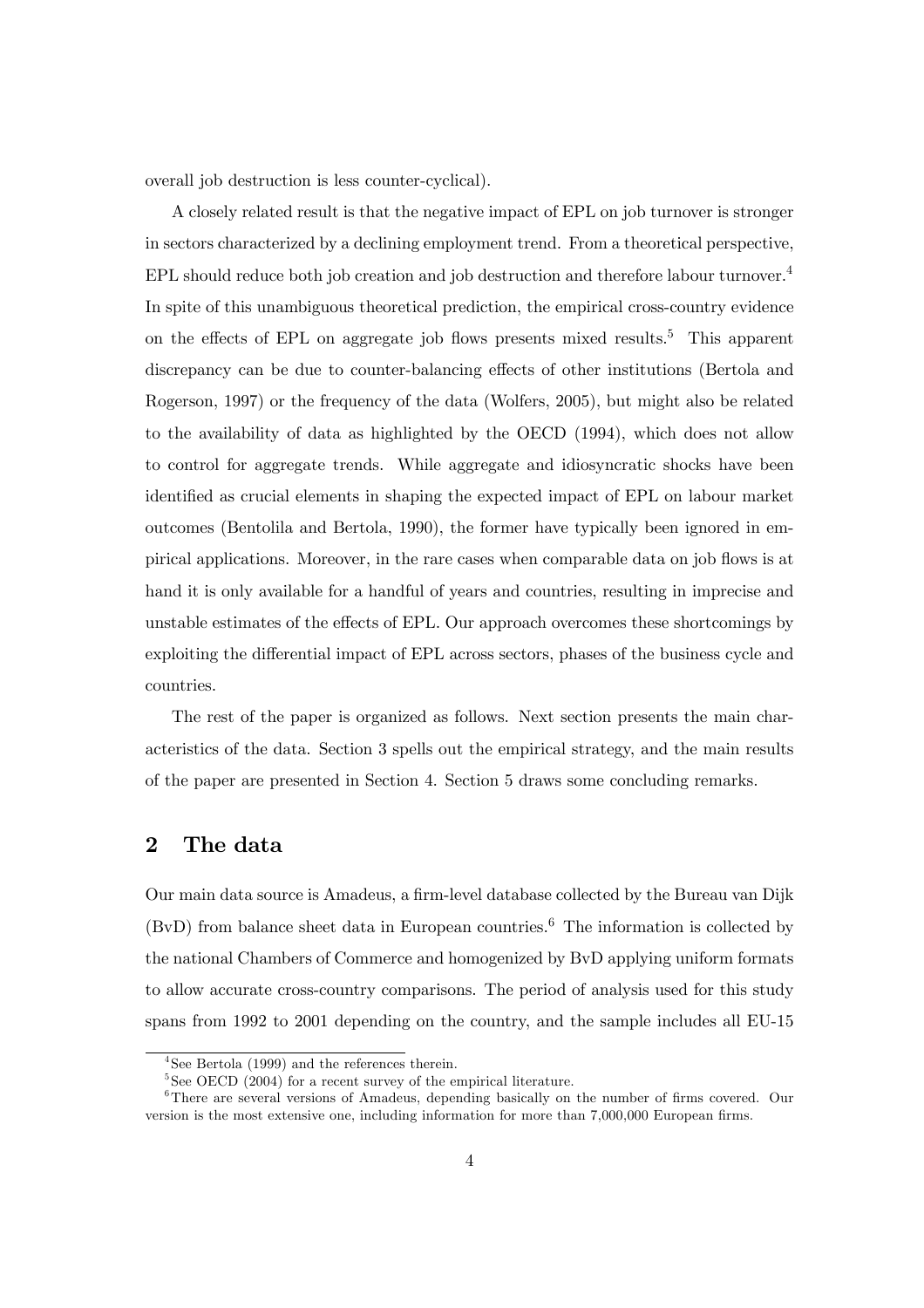overall job destruction is less counter-cyclical).

A closely related result is that the negative impact of EPL on job turnover is stronger in sectors characterized by a declining employment trend. From a theoretical perspective, EPL should reduce both job creation and job destruction and therefore labour turnover.<sup>4</sup> In spite of this unambiguous theoretical prediction, the empirical cross-country evidence on the effects of EPL on aggregate job flows presents mixed results.<sup>5</sup> This apparent discrepancy can be due to counter-balancing effects of other institutions (Bertola and Rogerson, 1997) or the frequency of the data (Wolfers, 2005), but might also be related to the availability of data as highlighted by the OECD (1994), which does not allow to control for aggregate trends. While aggregate and idiosyncratic shocks have been identified as crucial elements in shaping the expected impact of EPL on labour market outcomes (Bentolila and Bertola, 1990), the former have typically been ignored in empirical applications. Moreover, in the rare cases when comparable data on job flows is at hand it is only available for a handful of years and countries, resulting in imprecise and unstable estimates of the effects of EPL. Our approach overcomes these shortcomings by exploiting the differential impact of EPL across sectors, phases of the business cycle and countries.

The rest of the paper is organized as follows. Next section presents the main characteristics of the data. Section 3 spells out the empirical strategy, and the main results of the paper are presented in Section 4. Section 5 draws some concluding remarks.

# 2 The data

Our main data source is Amadeus, a firm-level database collected by the Bureau van Dijk  $(BvD)$  from balance sheet data in European countries.<sup>6</sup> The information is collected by the national Chambers of Commerce and homogenized by BvD applying uniform formats to allow accurate cross-country comparisons. The period of analysis used for this study spans from 1992 to 2001 depending on the country, and the sample includes all EU-15

<sup>4</sup>See Bertola (1999) and the references therein.

 $5$ See OECD (2004) for a recent survey of the empirical literature.

<sup>&</sup>lt;sup>6</sup>There are several versions of Amadeus, depending basically on the number of firms covered. Our version is the most extensive one, including information for more than 7,000,000 European firms.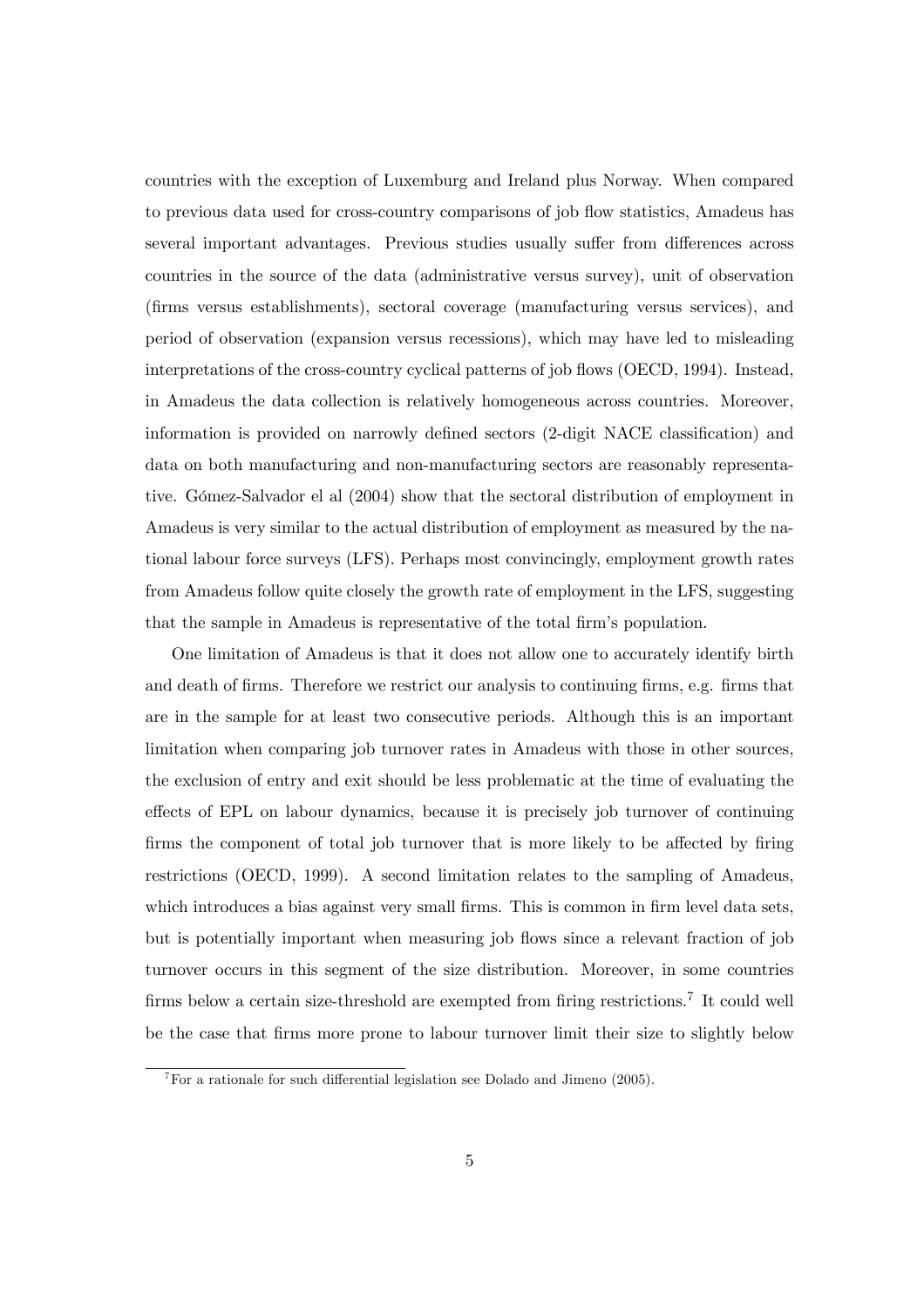countries with the exception of Luxemburg and Ireland plus Norway. When compared to previous data used for cross-country comparisons of job flow statistics, Amadeus has several important advantages. Previous studies usually suffer from differences across countries in the source of the data (administrative versus survey), unit of observation (firms versus establishments), sectoral coverage (manufacturing versus services), and period of observation (expansion versus recessions), which may have led to misleading interpretations of the cross-country cyclical patterns of job flows (OECD, 1994). Instead, in Amadeus the data collection is relatively homogeneous across countries. Moreover, information is provided on narrowly defined sectors (2-digit NACE classification) and data on both manufacturing and non-manufacturing sectors are reasonably representative. Gómez-Salvador el al (2004) show that the sectoral distribution of employment in Amadeus is very similar to the actual distribution of employment as measured by the national labour force surveys (LFS). Perhaps most convincingly, employment growth rates from Amadeus follow quite closely the growth rate of employment in the LFS, suggesting that the sample in Amadeus is representative of the total firm's population.

One limitation of Amadeus is that it does not allow one to accurately identify birth and death of firms. Therefore we restrict our analysis to continuing firms, e.g. firms that are in the sample for at least two consecutive periods. Although this is an important limitation when comparing job turnover rates in Amadeus with those in other sources, the exclusion of entry and exit should be less problematic at the time of evaluating the effects of EPL on labour dynamics, because it is precisely job turnover of continuing firms the component of total job turnover that is more likely to be affected by firing restrictions (OECD, 1999). A second limitation relates to the sampling of Amadeus, which introduces a bias against very small firms. This is common in firm level data sets, but is potentially important when measuring job flows since a relevant fraction of job turnover occurs in this segment of the size distribution. Moreover, in some countries firms below a certain size-threshold are exempted from firing restrictions.<sup>7</sup> It could well be the case that firms more prone to labour turnover limit their size to slightly below

<sup>&</sup>lt;sup>7</sup>For a rationale for such differential legislation see Dolado and Jimeno (2005).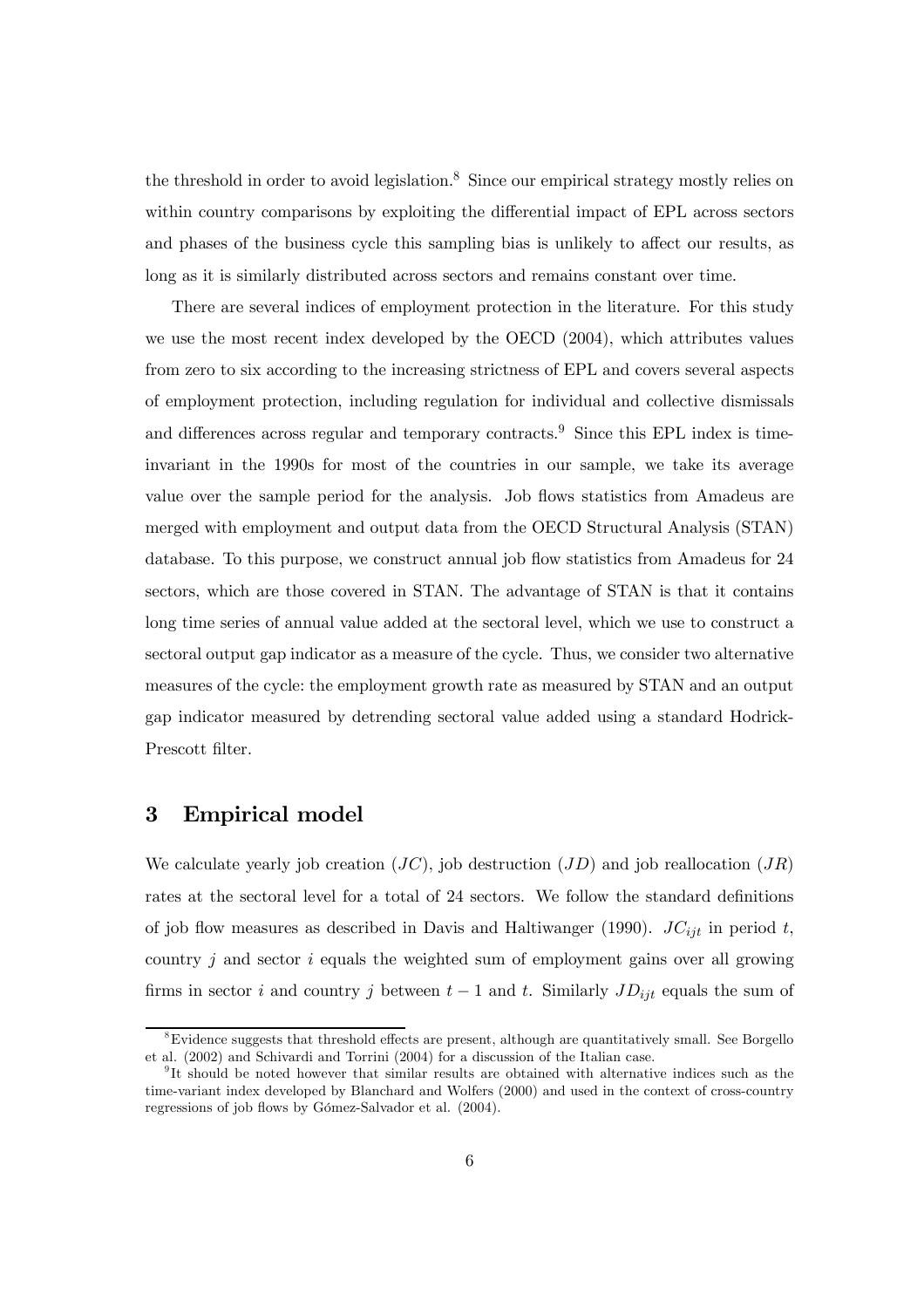the threshold in order to avoid legislation.<sup>8</sup> Since our empirical strategy mostly relies on within country comparisons by exploiting the differential impact of EPL across sectors and phases of the business cycle this sampling bias is unlikely to affect our results, as long as it is similarly distributed across sectors and remains constant over time.

There are several indices of employment protection in the literature. For this study we use the most recent index developed by the OECD (2004), which attributes values from zero to six according to the increasing strictness of EPL and covers several aspects of employment protection, including regulation for individual and collective dismissals and differences across regular and temporary contracts.<sup>9</sup> Since this EPL index is timeinvariant in the 1990s for most of the countries in our sample, we take its average value over the sample period for the analysis. Job flows statistics from Amadeus are merged with employment and output data from the OECD Structural Analysis (STAN) database. To this purpose, we construct annual job flow statistics from Amadeus for 24 sectors, which are those covered in STAN. The advantage of STAN is that it contains long time series of annual value added at the sectoral level, which we use to construct a sectoral output gap indicator as a measure of the cycle. Thus, we consider two alternative measures of the cycle: the employment growth rate as measured by STAN and an output gap indicator measured by detrending sectoral value added using a standard Hodrick-Prescott filter.

### 3 Empirical model

We calculate yearly job creation  $(JC)$ , job destruction  $(JD)$  and job reallocation  $(JR)$ rates at the sectoral level for a total of 24 sectors. We follow the standard definitions of job flow measures as described in Davis and Haltiwanger (1990).  $JC_{iit}$  in period t, country  $j$  and sector  $i$  equals the weighted sum of employment gains over all growing firms in sector i and country j between  $t-1$  and t. Similarly  $JD_{ijt}$  equals the sum of

 $8E$ vidence suggests that threshold effects are present, although are quantitatively small. See Borgello et al. (2002) and Schivardi and Torrini (2004) for a discussion of the Italian case.

<sup>&</sup>lt;sup>9</sup>It should be noted however that similar results are obtained with alternative indices such as the time-variant index developed by Blanchard and Wolfers (2000) and used in the context of cross-country regressions of job flows by Gómez-Salvador et al. (2004).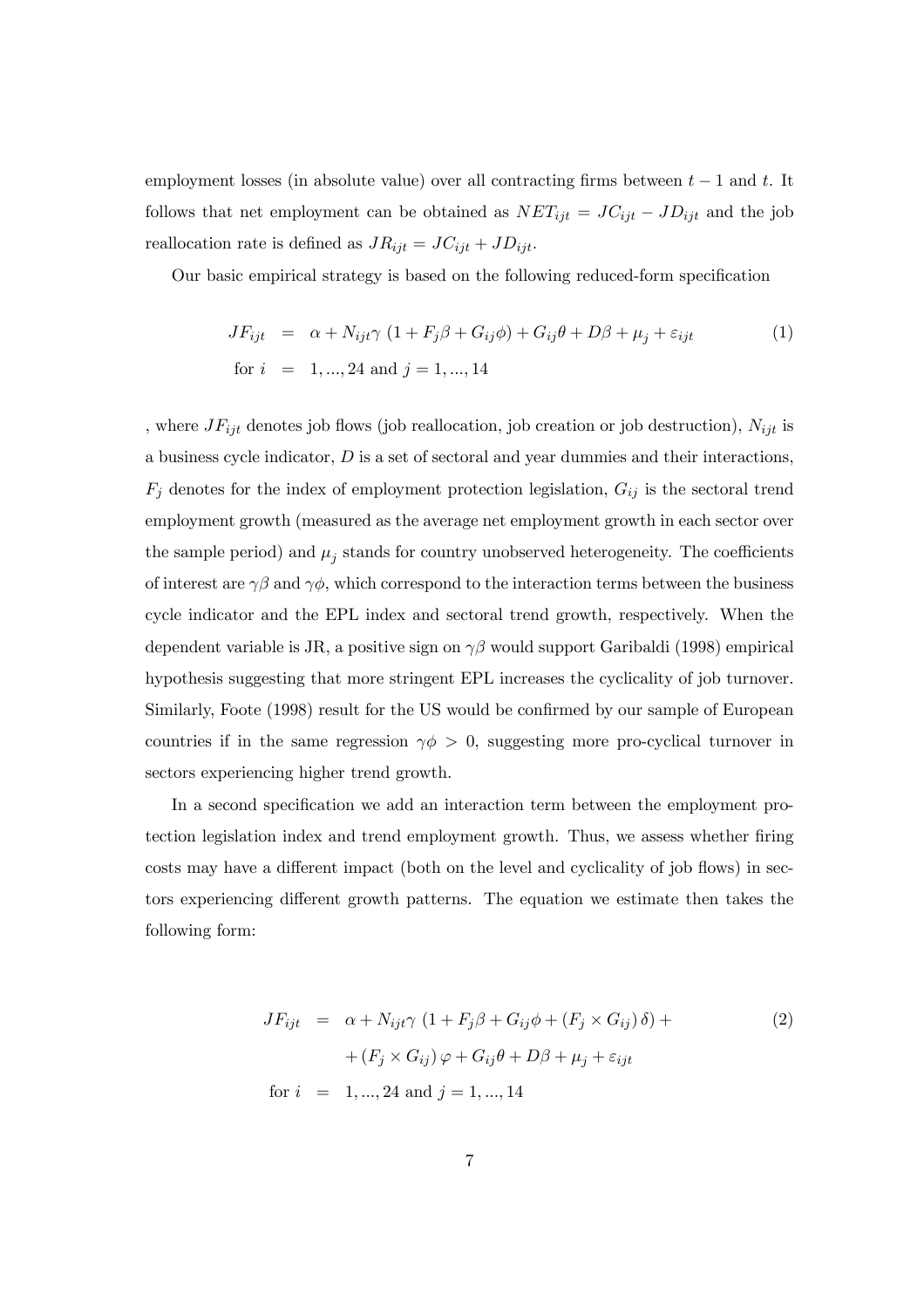employment losses (in absolute value) over all contracting firms between  $t-1$  and t. It follows that net employment can be obtained as  $NET_{ijt} = JC_{ijt} - JD_{ijt}$  and the job reallocation rate is defined as  $JR_{ijt} = JC_{ijt} + JD_{ijt}$ .

Our basic empirical strategy is based on the following reduced-form specification

$$
JF_{ijt} = \alpha + N_{ijt} \gamma (1 + F_j \beta + G_{ij} \phi) + G_{ij} \theta + D\beta + \mu_j + \varepsilon_{ijt}
$$
  
for  $i = 1, ..., 24$  and  $j = 1, ..., 14$  (1)

, where  $J_{ijt}$  denotes job flows (job reallocation, job creation or job destruction),  $N_{ijt}$  is a business cycle indicator, D is a set of sectoral and year dummies and their interactions,  $F_j$  denotes for the index of employment protection legislation,  $G_{ij}$  is the sectoral trend employment growth (measured as the average net employment growth in each sector over the sample period) and  $\mu_j$  stands for country unobserved heterogeneity. The coefficients of interest are  $\gamma\beta$  and  $\gamma\phi$ , which correspond to the interaction terms between the business cycle indicator and the EPL index and sectoral trend growth, respectively. When the dependent variable is JR, a positive sign on  $\gamma\beta$  would support Garibaldi (1998) empirical hypothesis suggesting that more stringent EPL increases the cyclicality of job turnover. Similarly, Foote (1998) result for the US would be confirmed by our sample of European countries if in the same regression  $\gamma \phi > 0$ , suggesting more pro-cyclical turnover in sectors experiencing higher trend growth.

In a second specification we add an interaction term between the employment protection legislation index and trend employment growth. Thus, we assess whether firing costs may have a different impact (both on the level and cyclicality of job flows) in sectors experiencing different growth patterns. The equation we estimate then takes the following form:

$$
JF_{ijt} = \alpha + N_{ijt}\gamma (1 + F_j\beta + G_{ij}\phi + (F_j \times G_{ij})\delta) +
$$
  
+ 
$$
(F_j \times G_{ij})\varphi + G_{ij}\theta + D\beta + \mu_j + \varepsilon_{ijt}
$$
  
for  $i = 1, ..., 24$  and  $j = 1, ..., 14$  (2)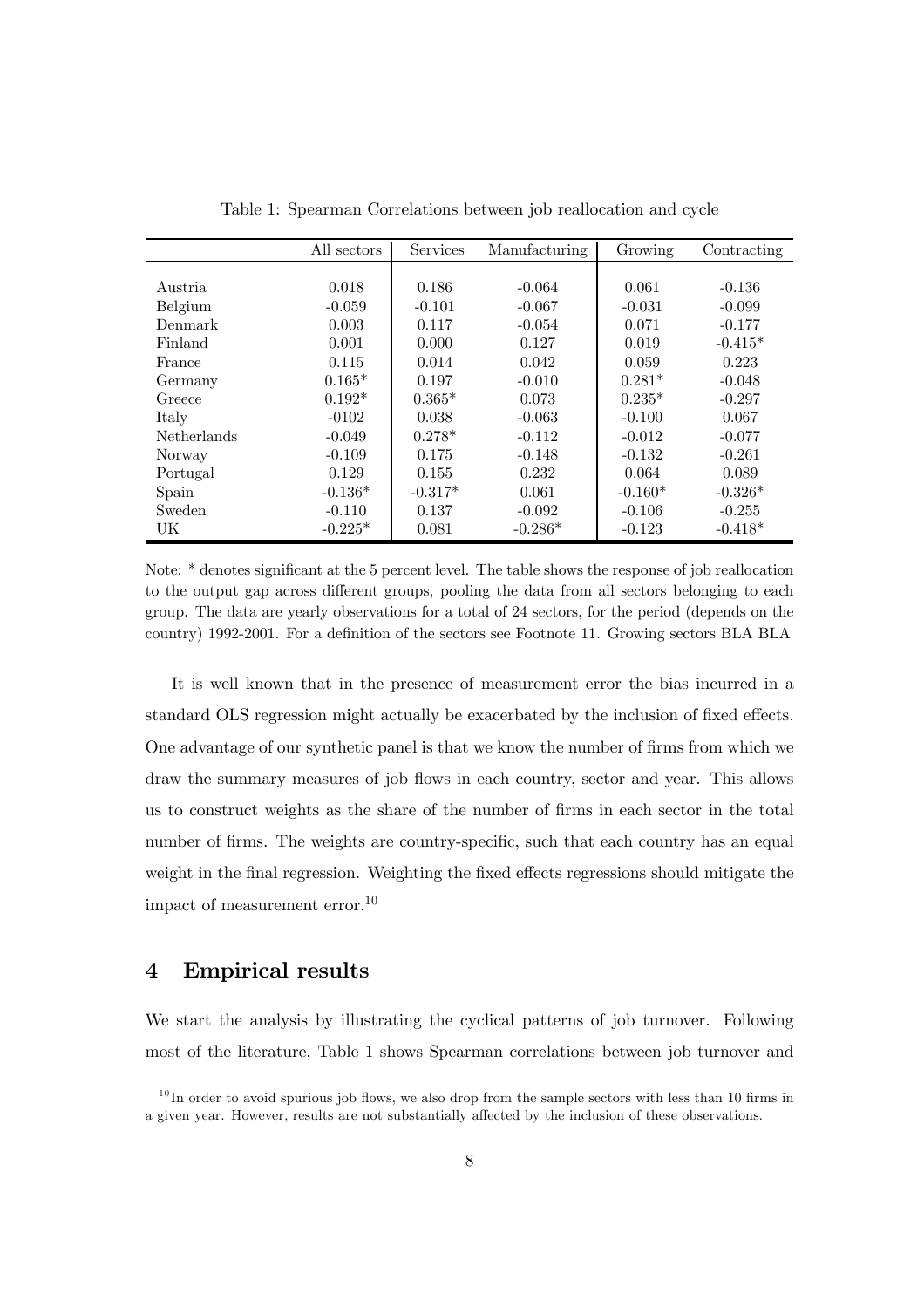|                    | All sectors | Services  | Manufacturing | $\overline{\text{G}}$ rowing | Contracting |
|--------------------|-------------|-----------|---------------|------------------------------|-------------|
|                    |             |           |               |                              |             |
| Austria            | 0.018       | 0.186     | $-0.064$      | 0.061                        | $-0.136$    |
| Belgium            | $-0.059$    | $-0.101$  | $-0.067$      | $-0.031$                     | $-0.099$    |
| Denmark            | 0.003       | 0.117     | $-0.054$      | 0.071                        | $-0.177$    |
| Finland            | 0.001       | 0.000     | 0.127         | 0.019                        | $-0.415*$   |
| France             | 0.115       | 0.014     | 0.042         | 0.059                        | 0.223       |
| Germany            | $0.165*$    | 0.197     | $-0.010$      | $0.281*$                     | $-0.048$    |
| Greece             | $0.192*$    | $0.365*$  | 0.073         | $0.235*$                     | $-0.297$    |
| Italy              | $-0102$     | 0.038     | $-0.063$      | $-0.100$                     | 0.067       |
| <b>Netherlands</b> | $-0.049$    | $0.278*$  | $-0.112$      | $-0.012$                     | $-0.077$    |
| Norway             | $-0.109$    | 0.175     | $-0.148$      | $-0.132$                     | $-0.261$    |
| Portugal           | 0.129       | 0.155     | 0.232         | 0.064                        | 0.089       |
| Spain              | $-0.136*$   | $-0.317*$ | 0.061         | $-0.160*$                    | $-0.326*$   |
| <b>Sweden</b>      | $-0.110$    | 0.137     | $-0.092$      | $-0.106$                     | $-0.255$    |
| UK                 | $-0.225*$   | 0.081     | $-0.286*$     | $-0.123$                     | $-0.418*$   |

Table 1: Spearman Correlations between job reallocation and cycle

Note: \* denotes significant at the 5 percent level. The table shows the response of job reallocation to the output gap across different groups, pooling the data from all sectors belonging to each group. The data are yearly observations for a total of 24 sectors, for the period (depends on the country) 1992-2001. For a definition of the sectors see Footnote 11. Growing sectors BLA BLA

It is well known that in the presence of measurement error the bias incurred in a standard OLS regression might actually be exacerbated by the inclusion of fixed effects. One advantage of our synthetic panel is that we know the number of firms from which we draw the summary measures of job flows in each country, sector and year. This allows us to construct weights as the share of the number of firms in each sector in the total number of firms. The weights are country-specific, such that each country has an equal weight in the final regression. Weighting the fixed effects regressions should mitigate the impact of measurement error.10

## 4 Empirical results

We start the analysis by illustrating the cyclical patterns of job turnover. Following most of the literature, Table 1 shows Spearman correlations between job turnover and

 $10$  In order to avoid spurious job flows, we also drop from the sample sectors with less than 10 firms in a given year. However, results are not substantially affected by the inclusion of these observations.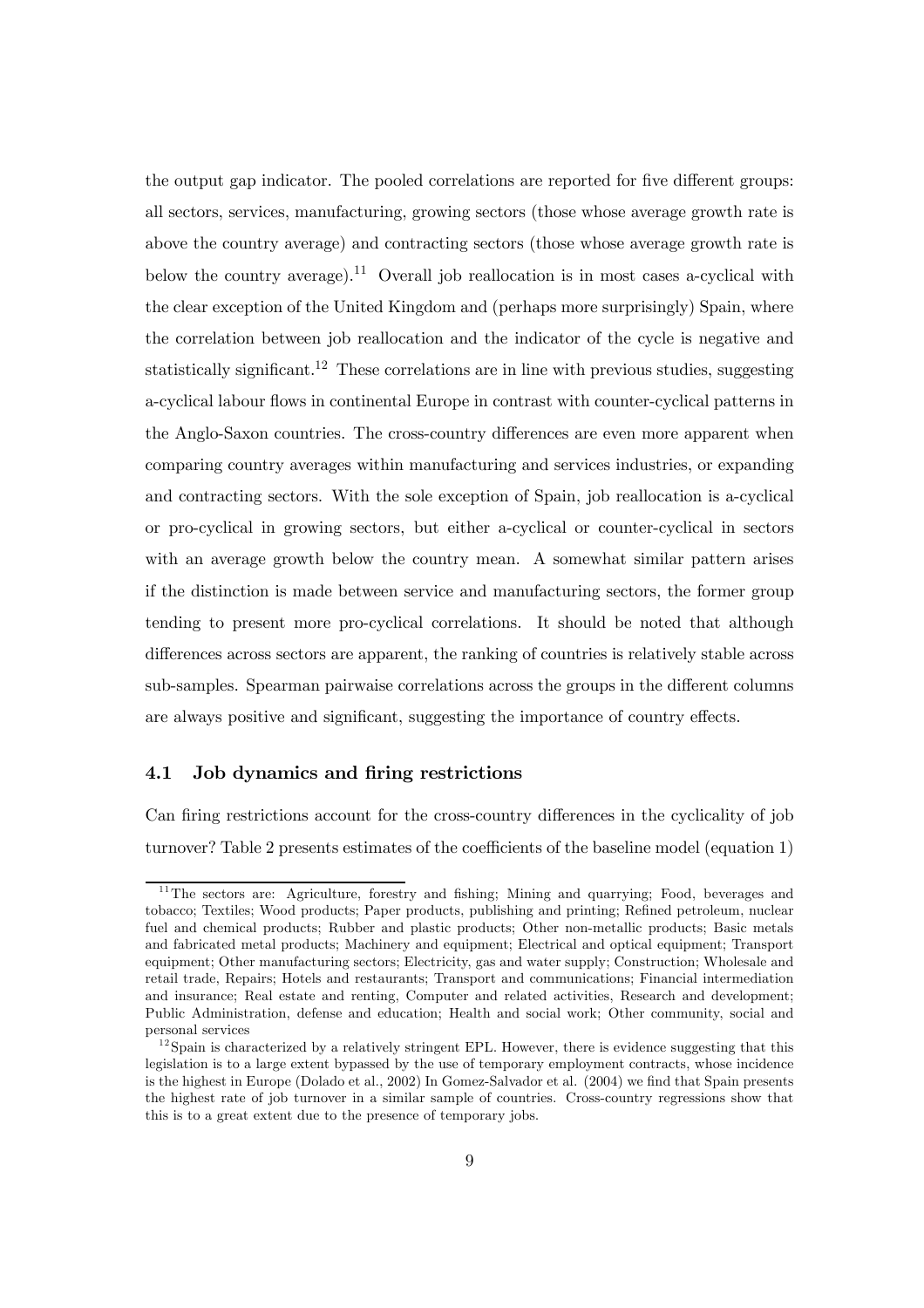the output gap indicator. The pooled correlations are reported for five different groups: all sectors, services, manufacturing, growing sectors (those whose average growth rate is above the country average) and contracting sectors (those whose average growth rate is below the country average).<sup>11</sup> Overall job reallocation is in most cases a-cyclical with the clear exception of the United Kingdom and (perhaps more surprisingly) Spain, where the correlation between job reallocation and the indicator of the cycle is negative and statistically significant.<sup>12</sup> These correlations are in line with previous studies, suggesting a-cyclical labour flows in continental Europe in contrast with counter-cyclical patterns in the Anglo-Saxon countries. The cross-country differences are even more apparent when comparing country averages within manufacturing and services industries, or expanding and contracting sectors. With the sole exception of Spain, job reallocation is a-cyclical or pro-cyclical in growing sectors, but either a-cyclical or counter-cyclical in sectors with an average growth below the country mean. A somewhat similar pattern arises if the distinction is made between service and manufacturing sectors, the former group tending to present more pro-cyclical correlations. It should be noted that although differences across sectors are apparent, the ranking of countries is relatively stable across sub-samples. Spearman pairwaise correlations across the groups in the different columns are always positive and significant, suggesting the importance of country effects.

#### 4.1 Job dynamics and firing restrictions

Can firing restrictions account for the cross-country differences in the cyclicality of job turnover? Table 2 presents estimates of the coefficients of the baseline model (equation 1)

<sup>&</sup>lt;sup>11</sup>The sectors are: Agriculture, forestry and fishing; Mining and quarrying; Food, beverages and tobacco; Textiles; Wood products; Paper products, publishing and printing; Refined petroleum, nuclear fuel and chemical products; Rubber and plastic products; Other non-metallic products; Basic metals and fabricated metal products; Machinery and equipment; Electrical and optical equipment; Transport equipment; Other manufacturing sectors; Electricity, gas and water supply; Construction; Wholesale and retail trade, Repairs; Hotels and restaurants; Transport and communications; Financial intermediation and insurance; Real estate and renting, Computer and related activities, Research and development; Public Administration, defense and education; Health and social work; Other community, social and personal services

 $12$  Spain is characterized by a relatively stringent EPL. However, there is evidence suggesting that this legislation is to a large extent bypassed by the use of temporary employment contracts, whose incidence is the highest in Europe (Dolado et al., 2002) In Gomez-Salvador et al. (2004) we find that Spain presents the highest rate of job turnover in a similar sample of countries. Cross-country regressions show that this is to a great extent due to the presence of temporary jobs.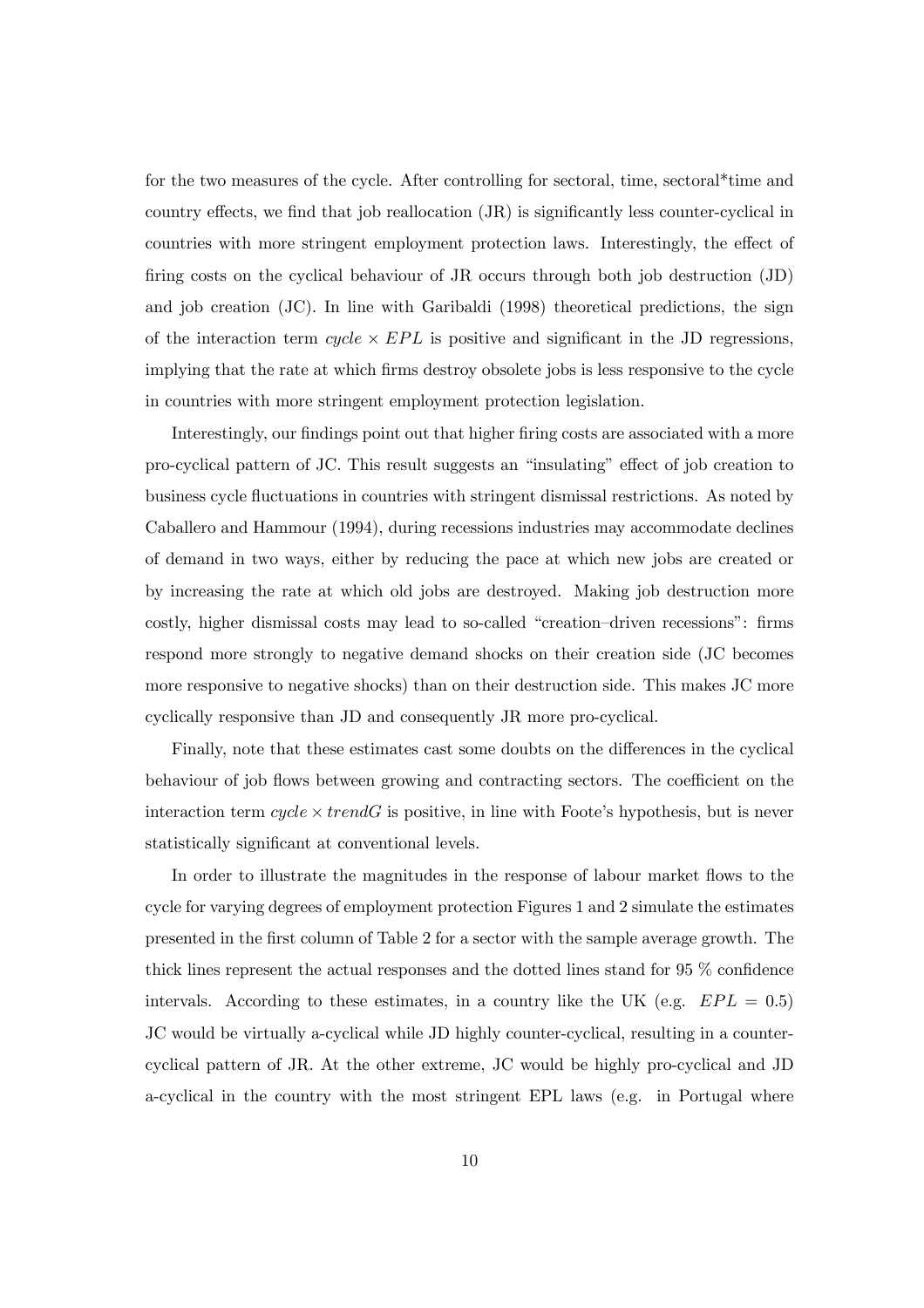for the two measures of the cycle. After controlling for sectoral, time, sectoral\*time and country effects, we find that job reallocation (JR) is significantly less counter-cyclical in countries with more stringent employment protection laws. Interestingly, the effect of firing costs on the cyclical behaviour of JR occurs through both job destruction (JD) and job creation (JC). In line with Garibaldi (1998) theoretical predictions, the sign of the interaction term  $cycle \times EPL$  is positive and significant in the JD regressions, implying that the rate at which firms destroy obsolete jobs is less responsive to the cycle in countries with more stringent employment protection legislation.

Interestingly, our findings point out that higher firing costs are associated with a more pro-cyclical pattern of JC. This result suggests an "insulating" effect of job creation to business cycle fluctuations in countries with stringent dismissal restrictions. As noted by Caballero and Hammour (1994), during recessions industries may accommodate declines of demand in two ways, either by reducing the pace at which new jobs are created or by increasing the rate at which old jobs are destroyed. Making job destruction more costly, higher dismissal costs may lead to so-called "creation—driven recessions": firms respond more strongly to negative demand shocks on their creation side (JC becomes more responsive to negative shocks) than on their destruction side. This makes JC more cyclically responsive than JD and consequently JR more pro-cyclical.

Finally, note that these estimates cast some doubts on the differences in the cyclical behaviour of job flows between growing and contracting sectors. The coefficient on the interaction term  $cycle \times trendG$  is positive, in line with Foote's hypothesis, but is never statistically significant at conventional levels.

In order to illustrate the magnitudes in the response of labour market flows to the cycle for varying degrees of employment protection Figures 1 and 2 simulate the estimates presented in the first column of Table 2 for a sector with the sample average growth. The thick lines represent the actual responses and the dotted lines stand for 95 % confidence intervals. According to these estimates, in a country like the UK (e.g.  $EPL = 0.5$ ) JC would be virtually a-cyclical while JD highly counter-cyclical, resulting in a countercyclical pattern of JR. At the other extreme, JC would be highly pro-cyclical and JD a-cyclical in the country with the most stringent EPL laws (e.g. in Portugal where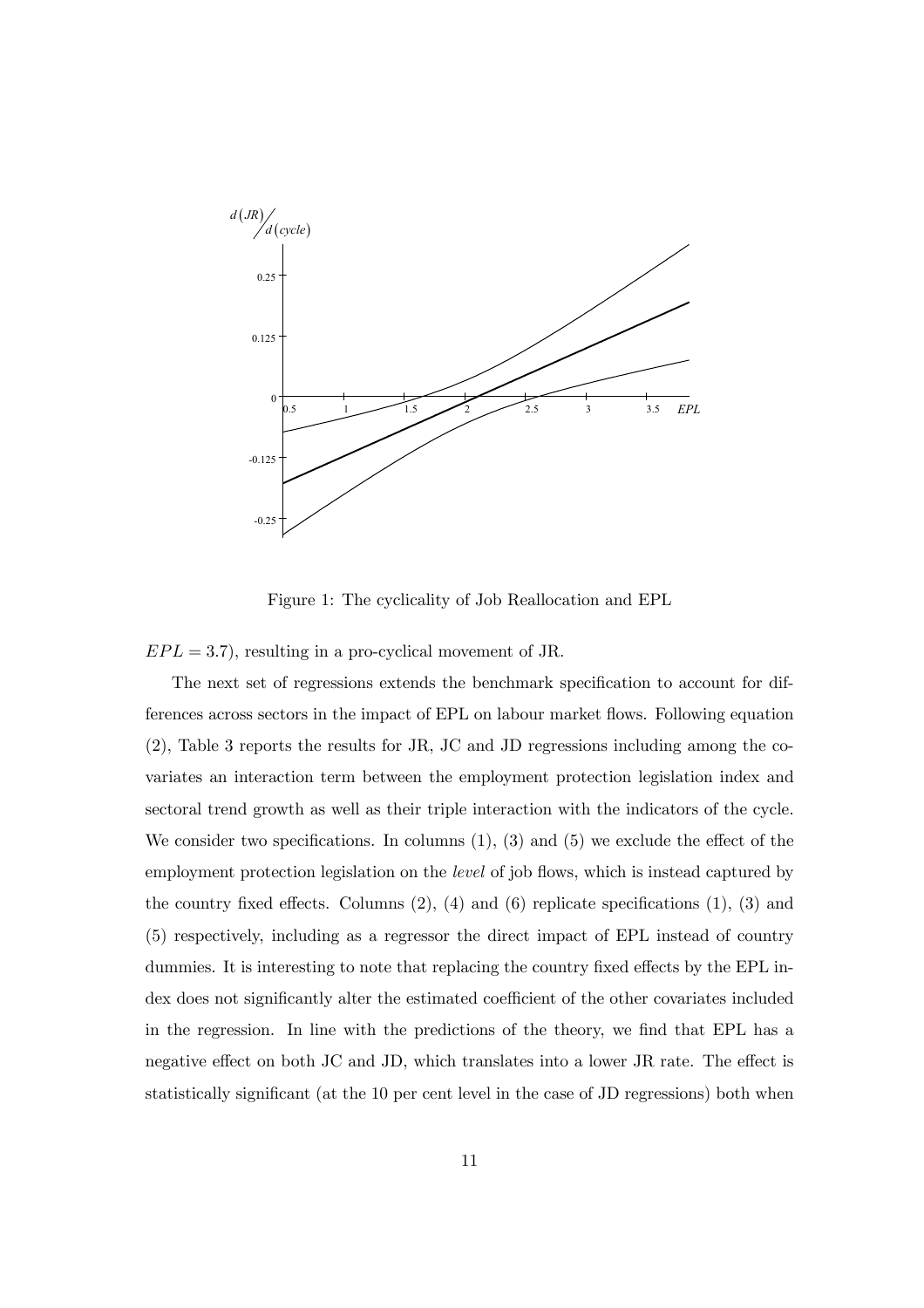

Figure 1: The cyclicality of Job Reallocation and EPL

 $EPL = 3.7$ , resulting in a pro-cyclical movement of JR.

The next set of regressions extends the benchmark specification to account for differences across sectors in the impact of EPL on labour market flows. Following equation (2), Table 3 reports the results for JR, JC and JD regressions including among the covariates an interaction term between the employment protection legislation index and sectoral trend growth as well as their triple interaction with the indicators of the cycle. We consider two specifications. In columns  $(1)$ ,  $(3)$  and  $(5)$  we exclude the effect of the employment protection legislation on the *level* of job flows, which is instead captured by the country fixed effects. Columns  $(2)$ ,  $(4)$  and  $(6)$  replicate specifications  $(1)$ ,  $(3)$  and (5) respectively, including as a regressor the direct impact of EPL instead of country dummies. It is interesting to note that replacing the country fixed effects by the EPL index does not significantly alter the estimated coefficient of the other covariates included in the regression. In line with the predictions of the theory, we find that EPL has a negative effect on both JC and JD, which translates into a lower JR rate. The effect is statistically significant (at the 10 per cent level in the case of JD regressions) both when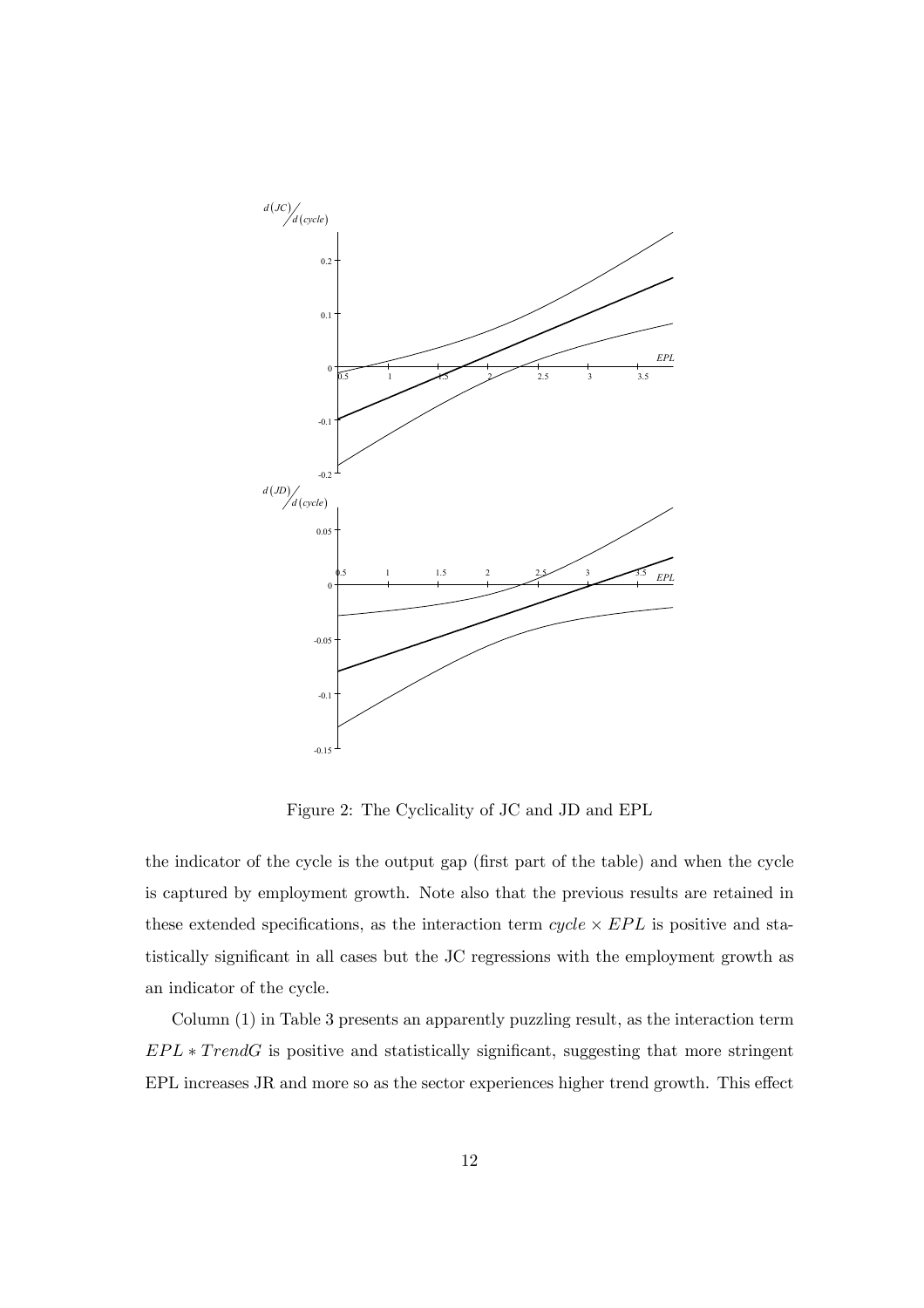

Figure 2: The Cyclicality of JC and JD and EPL

the indicator of the cycle is the output gap (first part of the table) and when the cycle is captured by employment growth. Note also that the previous results are retained in these extended specifications, as the interaction term  $cycle \times EPL$  is positive and statistically significant in all cases but the JC regressions with the employment growth as an indicator of the cycle.

Column (1) in Table 3 presents an apparently puzzling result, as the interaction term  $EPL * TrendG$  is positive and statistically significant, suggesting that more stringent EPL increases JR and more so as the sector experiences higher trend growth. This effect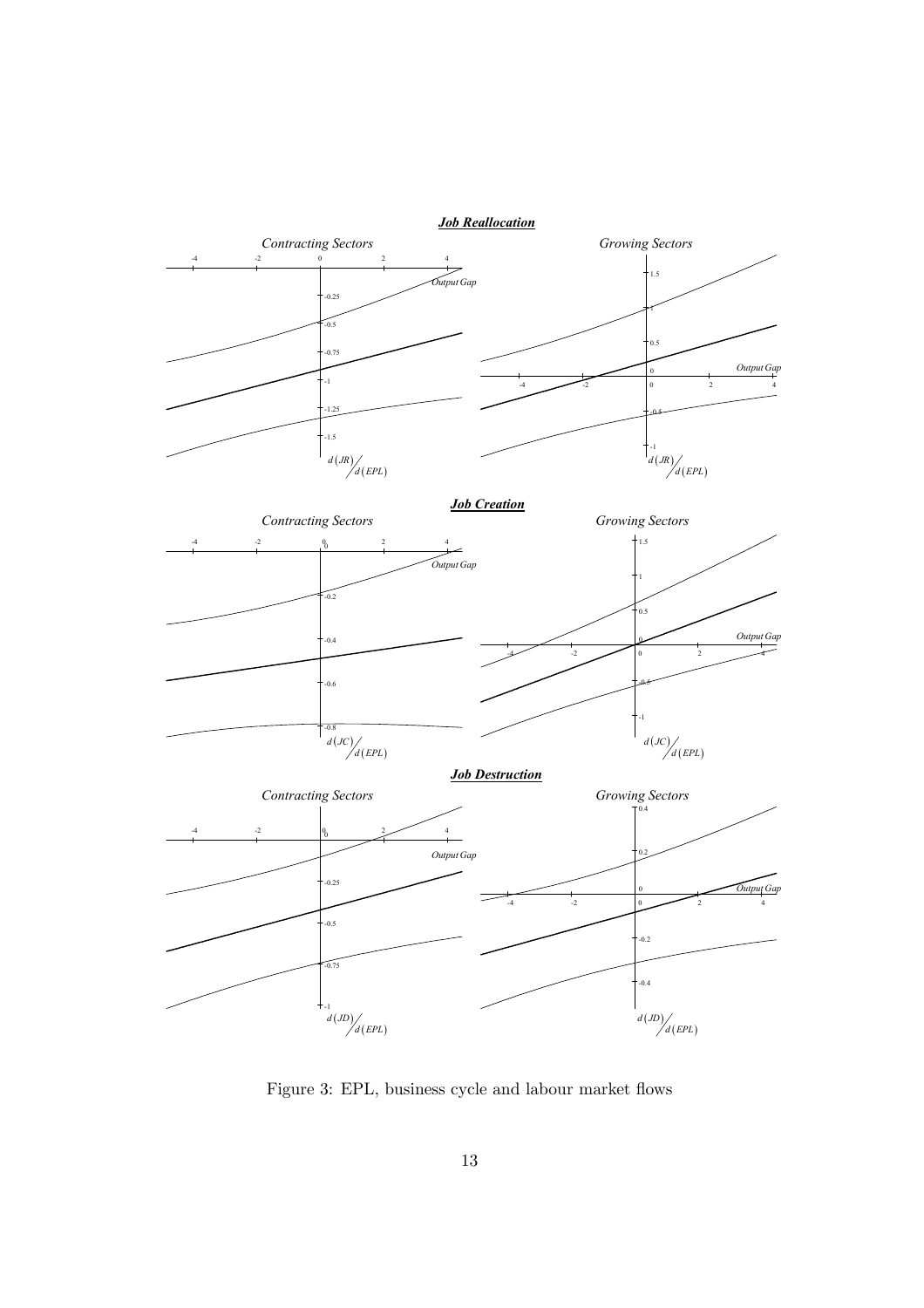

Figure 3: EPL, business cycle and labour market flows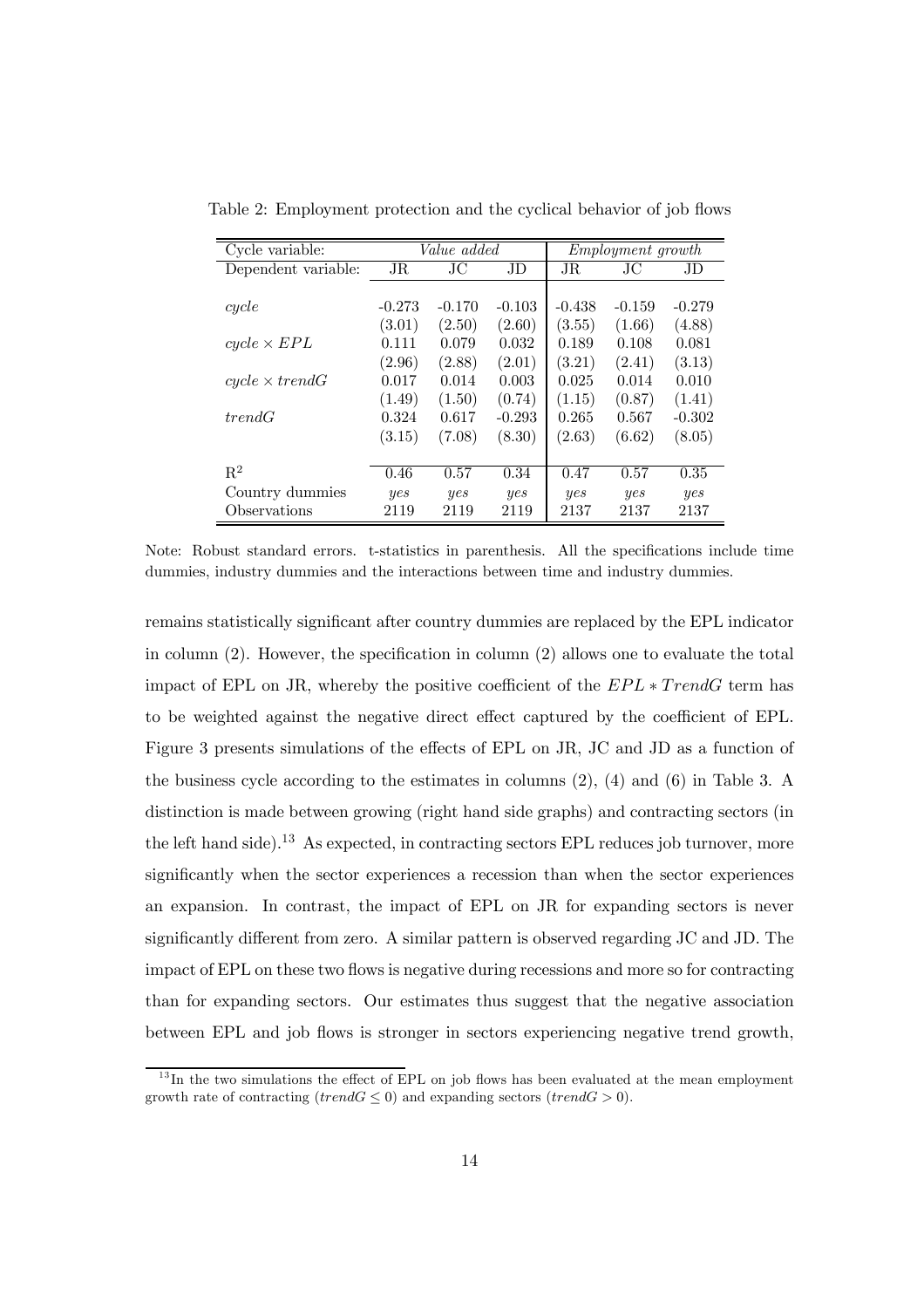| Cycle variable:       | <i>Value</i> added |          |          | <i>Employment growth</i> |          |          |  |
|-----------------------|--------------------|----------|----------|--------------------------|----------|----------|--|
| Dependent variable:   | $_{\rm JR}$        | JС       | JD       | $_{\rm JR}$              | JС       | JD       |  |
|                       |                    |          |          |                          |          |          |  |
| cycle                 | $-0.273$           | $-0.170$ | $-0.103$ | $-0.438$                 | $-0.159$ | $-0.279$ |  |
|                       | (3.01)             | (2.50)   | (2.60)   | (3.55)                   | (1.66)   | (4.88)   |  |
| $cycle \times EPL$    | 0.111              | 0.079    | 0.032    | 0.189                    | 0.108    | 0.081    |  |
|                       | (2.96)             | (2.88)   | (2.01)   | (3.21)                   | (2.41)   | (3.13)   |  |
| $cycle \times trendG$ | 0.017              | 0.014    | 0.003    | 0.025                    | 0.014    | 0.010    |  |
|                       | (1.49)             | (1.50)   | (0.74)   | (1.15)                   | (0.87)   | (1.41)   |  |
| trendG                | 0.324              | 0.617    | $-0.293$ | 0.265                    | 0.567    | $-0.302$ |  |
|                       | (3.15)             | (7.08)   | (8.30)   | (2.63)                   | (6.62)   | (8.05)   |  |
|                       |                    |          |          |                          |          |          |  |
| $\mathbf{R}^2$        | 0.46               | 0.57     | 0.34     | 0.47                     | 0.57     | 0.35     |  |
| Country dummies       | yes                | yes      | yes      | yes                      | yes      | yes      |  |
| Observations          | 2119               | 2119     | 2119     | 2137                     | 2137     | 2137     |  |

Table 2: Employment protection and the cyclical behavior of job flows

Note: Robust standard errors. t-statistics in parenthesis. All the specifications include time dummies, industry dummies and the interactions between time and industry dummies.

remains statistically significant after country dummies are replaced by the EPL indicator in column (2). However, the specification in column (2) allows one to evaluate the total impact of EPL on JR, whereby the positive coefficient of the  $EPL * TrendG$  term has to be weighted against the negative direct effect captured by the coefficient of EPL. Figure 3 presents simulations of the effects of EPL on JR, JC and JD as a function of the business cycle according to the estimates in columns (2), (4) and (6) in Table 3. A distinction is made between growing (right hand side graphs) and contracting sectors (in the left hand side).<sup>13</sup> As expected, in contracting sectors EPL reduces job turnover, more significantly when the sector experiences a recession than when the sector experiences an expansion. In contrast, the impact of EPL on JR for expanding sectors is never significantly different from zero. A similar pattern is observed regarding JC and JD. The impact of EPL on these two flows is negative during recessions and more so for contracting than for expanding sectors. Our estimates thus suggest that the negative association between EPL and job flows is stronger in sectors experiencing negative trend growth,

 $13$  In the two simulations the effect of EPL on job flows has been evaluated at the mean employment growth rate of contracting (trend $G \leq 0$ ) and expanding sectors (trend $G > 0$ ).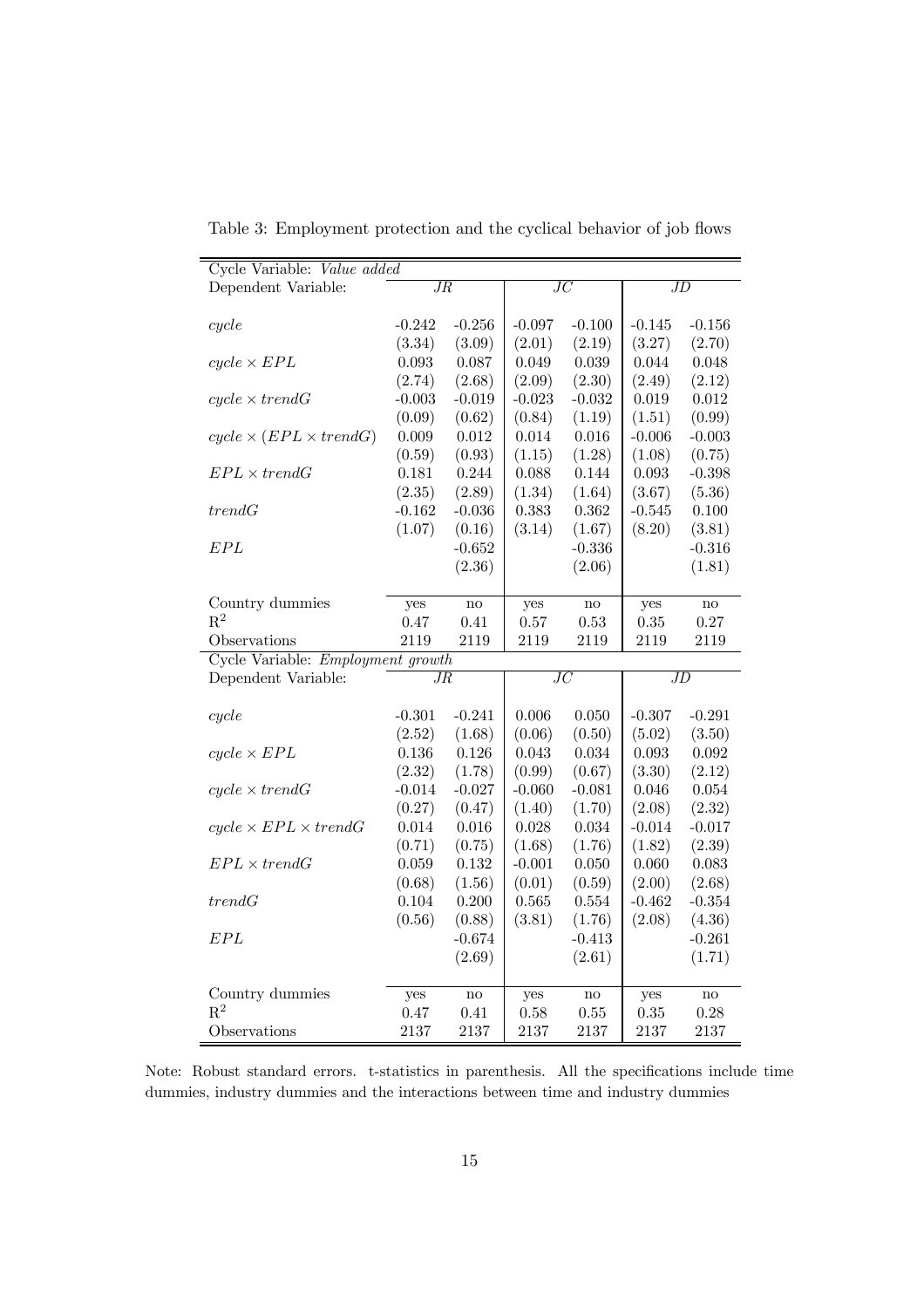| Cycle Variable: Value added        |                 |               |                 |               |                 |               |  |
|------------------------------------|-----------------|---------------|-----------------|---------------|-----------------|---------------|--|
| Dependent Variable:                | $J\overline{R}$ |               | $\overline{JC}$ |               | JD              |               |  |
|                                    |                 |               |                 |               |                 |               |  |
| cycle                              | $-0.242$        | $-0.256$      | $-0.097$        | $-0.100$      | $-0.145$        | $-0.156$      |  |
|                                    | (3.34)          | (3.09)        | (2.01)          | (2.19)        | (3.27)          | (2.70)        |  |
| $cycle \times EPL$                 | 0.093           | 0.087         | 0.049           | 0.039         | 0.044           | 0.048         |  |
|                                    | (2.74)          | (2.68)        | (2.09)          | (2.30)        | (2.49)          | (2.12)        |  |
| $cycle \times trendG$              | $-0.003$        | $-0.019$      | $-0.023$        | $-0.032$      | 0.019           | 0.012         |  |
|                                    | (0.09)          | (0.62)        | (0.84)          | (1.19)        | (1.51)          | (0.99)        |  |
| $cycle \times (EPL \times trendG)$ | 0.009           | 0.012         | 0.014           | 0.016         | $-0.006$        | $-0.003$      |  |
|                                    | (0.59)          | (0.93)        | (1.15)          | (1.28)        | (1.08)          | (0.75)        |  |
| $EPL \times trendG$                | 0.181           | 0.244         | 0.088           | 0.144         | 0.093           | $-0.398$      |  |
|                                    | (2.35)          | (2.89)        | (1.34)          | (1.64)        | (3.67)          | (5.36)        |  |
| trendG                             | $-0.162$        | $-0.036$      | 0.383           | 0.362         | $-0.545$        | 0.100         |  |
|                                    | (1.07)          | (0.16)        | (3.14)          | (1.67)        | (8.20)          | (3.81)        |  |
| EPL                                |                 | $-0.652$      |                 | $-0.336$      |                 | $-0.316$      |  |
|                                    |                 | (2.36)        |                 | (2.06)        |                 | (1.81)        |  |
|                                    |                 |               |                 |               |                 |               |  |
| Country dummies                    | yes             | no            | yes             | $\mathbf{no}$ | yes             | $\rm {no}$    |  |
| $\mathbf{R}^2$                     | 0.47            | 0.41          | 0.57            | 0.53          | 0.35            | 0.27          |  |
| Observations                       | 2119            | 2119          | 2119            | 2119          | 2119            | 2119          |  |
| Cycle Variable: Employment growth  |                 |               |                 |               |                 |               |  |
| Dependent Variable:                | $\overline{JR}$ |               | $\overline{JC}$ |               | $\overline{JD}$ |               |  |
|                                    |                 |               |                 |               |                 |               |  |
| cycle                              | $-0.301$        | $-0.241$      | 0.006           | 0.050         | $-0.307$        | $-0.291$      |  |
|                                    | (2.52)          | (1.68)        | (0.06)          | (0.50)        | (5.02)          | (3.50)        |  |
| $cycle \times EPL$                 | 0.136           | 0.126         | 0.043           | 0.034         | 0.093           | 0.092         |  |
|                                    | (2.32)          | (1.78)        | (0.99)          | (0.67)        | (3.30)          | (2.12)        |  |
| $cycle \times trendG$              | $-0.014$        | $-0.027$      | $-0.060$        | $-0.081$      | 0.046           | 0.054         |  |
|                                    | (0.27)          | (0.47)        | (1.40)          | (1.70)        | (2.08)          | (2.32)        |  |
| $cycle \times EPL \times trendG$   | 0.014           | 0.016         | 0.028           | 0.034         | $-0.014$        | $-0.017$      |  |
|                                    | (0.71)          | (0.75)        | (1.68)          | (1.76)        | (1.82)          | (2.39)        |  |
| $EPL \times trendG$                | 0.059           | 0.132         | $-0.001$        | 0.050         | 0.060           | 0.083         |  |
|                                    | (0.68)          | (1.56)        | (0.01)          | (0.59)        | (2.00)          | (2.68)        |  |
| trendG                             | 0.104           | 0.200         | 0.565           | 0.554         | $-0.462$        | $-0.354$      |  |
|                                    | (0.56)          | (0.88)        | (3.81)          | (1.76)        | (2.08)          | (4.36)        |  |
| EPL                                |                 | $-0.674$      |                 | $-0.413$      |                 | $-0.261$      |  |
|                                    |                 | (2.69)        |                 | (2.61)        |                 | (1.71)        |  |
|                                    |                 |               |                 |               |                 |               |  |
| Country dummies                    | yes             | $\mathbf{no}$ | yes             | $\mathbf{no}$ | yes             | $\mathbf{no}$ |  |
| $R^2$                              | 0.47            | 0.41          | 0.58            | 0.55          | 0.35            | 0.28          |  |
| Observations                       | 2137            | 2137          | 2137            | 2137          | 2137            | 2137          |  |

Table 3: Employment protection and the cyclical behavior of job flows

Note: Robust standard errors. t-statistics in parenthesis. All the specifications include time dummies, industry dummies and the interactions between time and industry dummies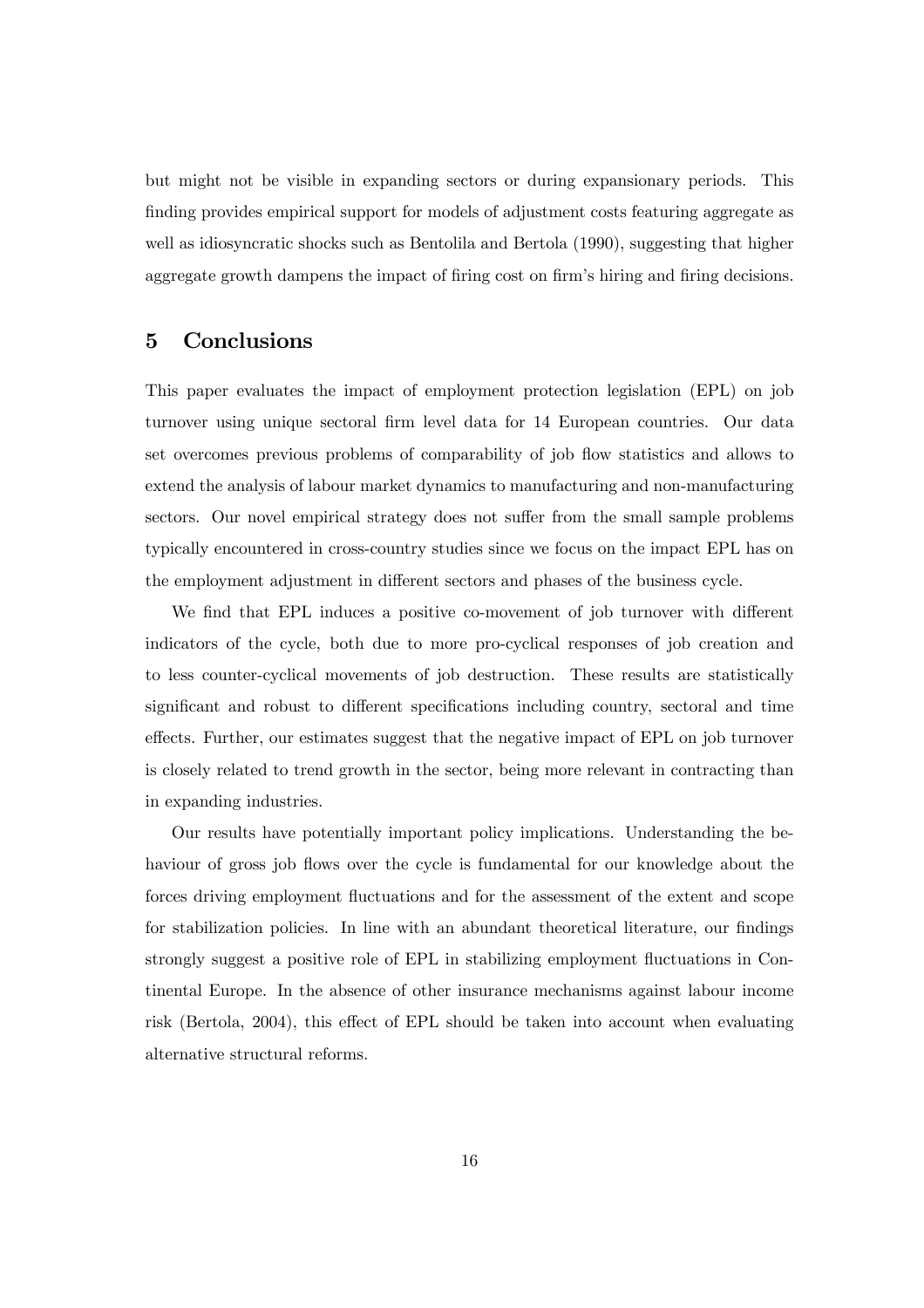but might not be visible in expanding sectors or during expansionary periods. This finding provides empirical support for models of adjustment costs featuring aggregate as well as idiosyncratic shocks such as Bentolila and Bertola (1990), suggesting that higher aggregate growth dampens the impact of firing cost on firm's hiring and firing decisions.

# 5 Conclusions

This paper evaluates the impact of employment protection legislation (EPL) on job turnover using unique sectoral firm level data for 14 European countries. Our data set overcomes previous problems of comparability of job flow statistics and allows to extend the analysis of labour market dynamics to manufacturing and non-manufacturing sectors. Our novel empirical strategy does not suffer from the small sample problems typically encountered in cross-country studies since we focus on the impact EPL has on the employment adjustment in different sectors and phases of the business cycle.

We find that EPL induces a positive co-movement of job turnover with different indicators of the cycle, both due to more pro-cyclical responses of job creation and to less counter-cyclical movements of job destruction. These results are statistically significant and robust to different specifications including country, sectoral and time effects. Further, our estimates suggest that the negative impact of EPL on job turnover is closely related to trend growth in the sector, being more relevant in contracting than in expanding industries.

Our results have potentially important policy implications. Understanding the behaviour of gross job flows over the cycle is fundamental for our knowledge about the forces driving employment fluctuations and for the assessment of the extent and scope for stabilization policies. In line with an abundant theoretical literature, our findings strongly suggest a positive role of EPL in stabilizing employment fluctuations in Continental Europe. In the absence of other insurance mechanisms against labour income risk (Bertola, 2004), this effect of EPL should be taken into account when evaluating alternative structural reforms.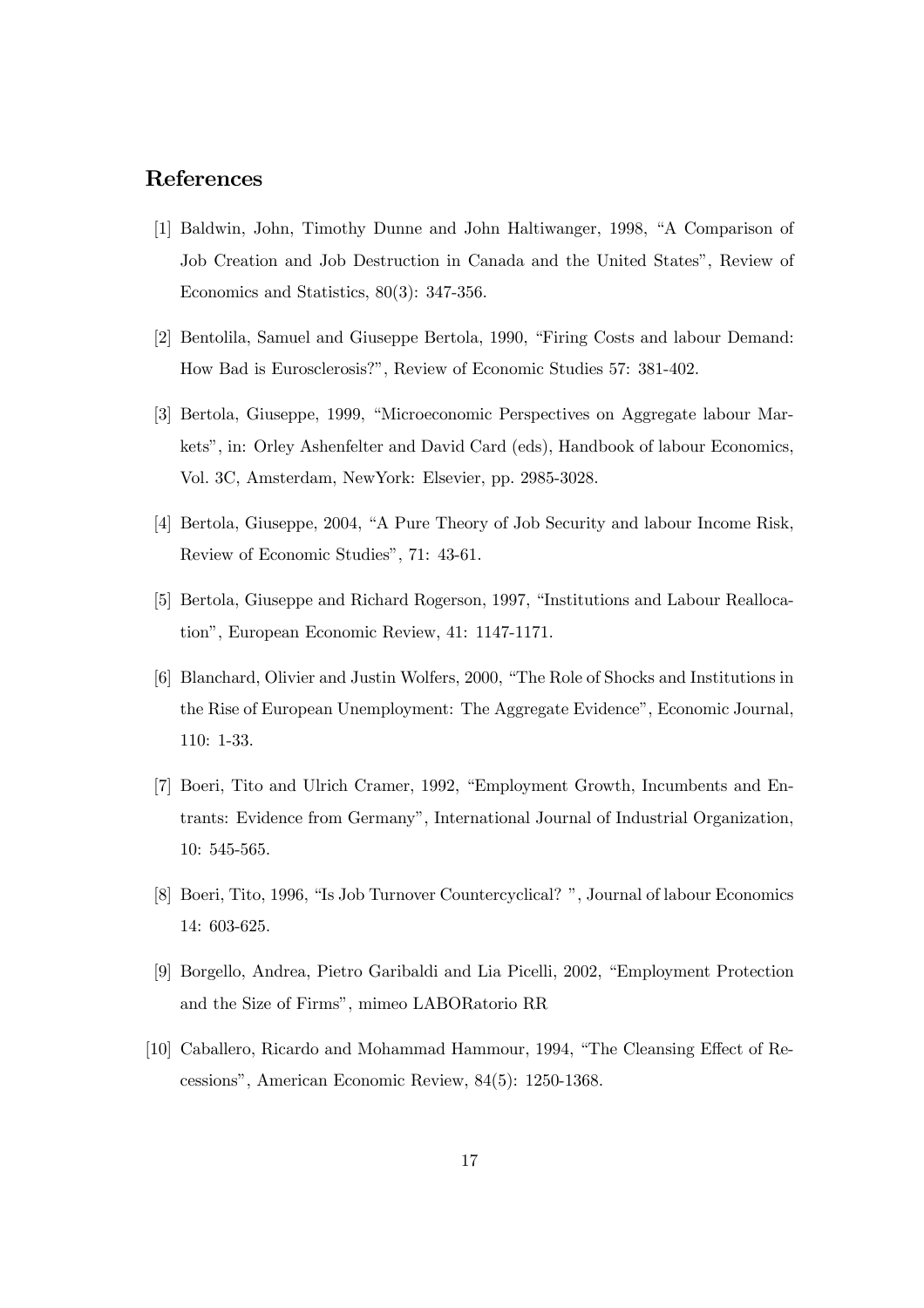# References

- [1] Baldwin, John, Timothy Dunne and John Haltiwanger, 1998, "A Comparison of Job Creation and Job Destruction in Canada and the United States", Review of Economics and Statistics, 80(3): 347-356.
- [2] Bentolila, Samuel and Giuseppe Bertola, 1990, "Firing Costs and labour Demand: How Bad is Eurosclerosis?", Review of Economic Studies 57: 381-402.
- [3] Bertola, Giuseppe, 1999, "Microeconomic Perspectives on Aggregate labour Markets", in: Orley Ashenfelter and David Card (eds), Handbook of labour Economics, Vol. 3C, Amsterdam, NewYork: Elsevier, pp. 2985-3028.
- [4] Bertola, Giuseppe, 2004, "A Pure Theory of Job Security and labour Income Risk, Review of Economic Studies", 71: 43-61.
- [5] Bertola, Giuseppe and Richard Rogerson, 1997, "Institutions and Labour Reallocation", European Economic Review, 41: 1147-1171.
- [6] Blanchard, Olivier and Justin Wolfers, 2000, "The Role of Shocks and Institutions in the Rise of European Unemployment: The Aggregate Evidence", Economic Journal, 110: 1-33.
- [7] Boeri, Tito and Ulrich Cramer, 1992, "Employment Growth, Incumbents and Entrants: Evidence from Germany", International Journal of Industrial Organization, 10: 545-565.
- [8] Boeri, Tito, 1996, "Is Job Turnover Countercyclical? ", Journal of labour Economics 14: 603-625.
- [9] Borgello, Andrea, Pietro Garibaldi and Lia Picelli, 2002, "Employment Protection and the Size of Firms", mimeo LABORatorio RR
- [10] Caballero, Ricardo and Mohammad Hammour, 1994, "The Cleansing Effect of Recessions", American Economic Review, 84(5): 1250-1368.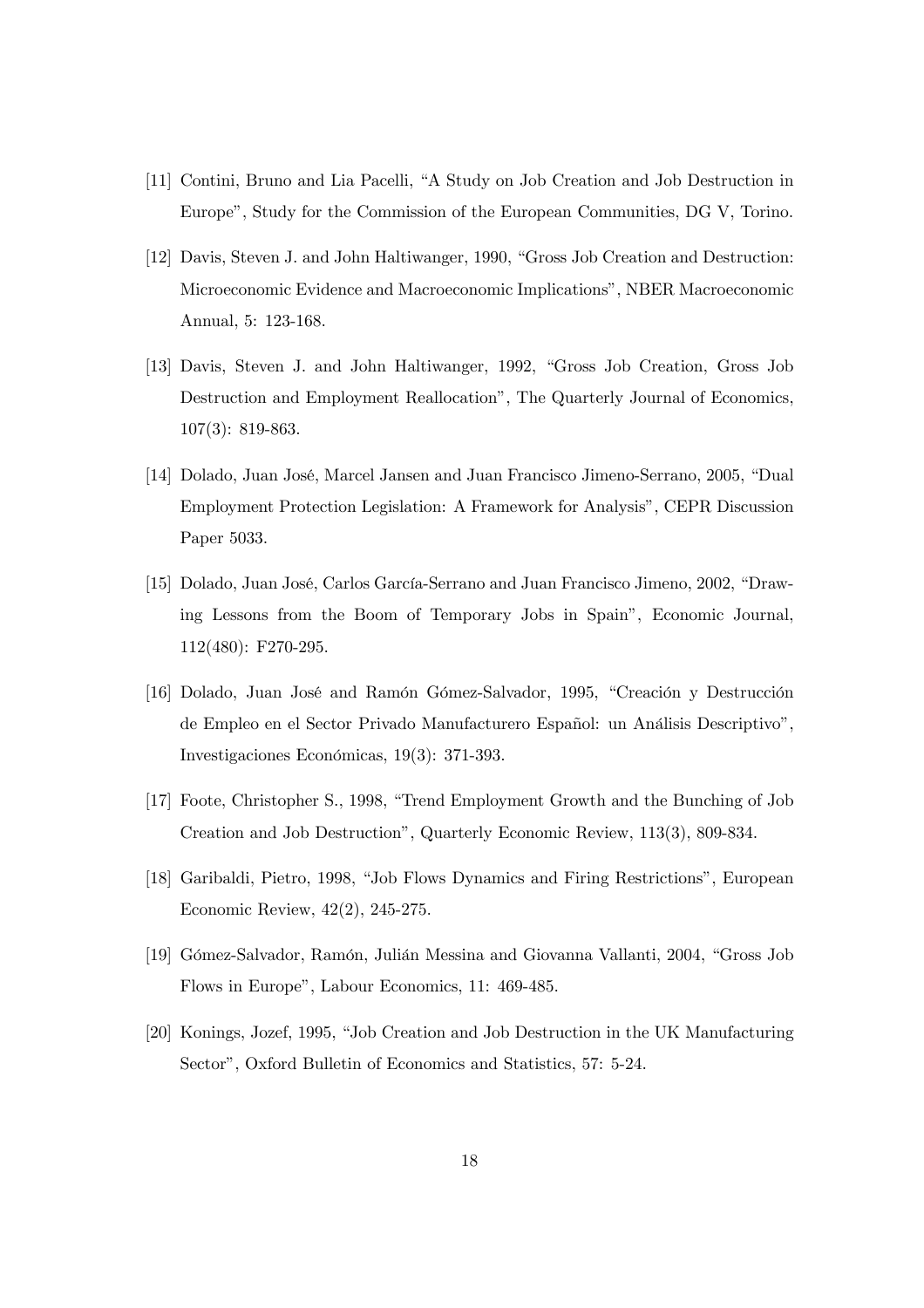- [11] Contini, Bruno and Lia Pacelli, "A Study on Job Creation and Job Destruction in Europe", Study for the Commission of the European Communities, DG V, Torino.
- [12] Davis, Steven J. and John Haltiwanger, 1990, "Gross Job Creation and Destruction: Microeconomic Evidence and Macroeconomic Implications", NBER Macroeconomic Annual, 5: 123-168.
- [13] Davis, Steven J. and John Haltiwanger, 1992, "Gross Job Creation, Gross Job Destruction and Employment Reallocation", The Quarterly Journal of Economics, 107(3): 819-863.
- [14] Dolado, Juan José, Marcel Jansen and Juan Francisco Jimeno-Serrano, 2005, "Dual Employment Protection Legislation: A Framework for Analysis", CEPR Discussion Paper 5033.
- [15] Dolado, Juan José, Carlos García-Serrano and Juan Francisco Jimeno, 2002, "Drawing Lessons from the Boom of Temporary Jobs in Spain", Economic Journal, 112(480): F270-295.
- [16] Dolado, Juan José and Ramón Gómez-Salvador, 1995, "Creación y Destrucción de Empleo en el Sector Privado Manufacturero Español: un Análisis Descriptivo", Investigaciones Económicas, 19(3): 371-393.
- [17] Foote, Christopher S., 1998, "Trend Employment Growth and the Bunching of Job Creation and Job Destruction", Quarterly Economic Review, 113(3), 809-834.
- [18] Garibaldi, Pietro, 1998, "Job Flows Dynamics and Firing Restrictions", European Economic Review, 42(2), 245-275.
- [19] Gómez-Salvador, Ramón, Julián Messina and Giovanna Vallanti, 2004, "Gross Job Flows in Europe", Labour Economics, 11: 469-485.
- [20] Konings, Jozef, 1995, "Job Creation and Job Destruction in the UK Manufacturing Sector", Oxford Bulletin of Economics and Statistics, 57: 5-24.